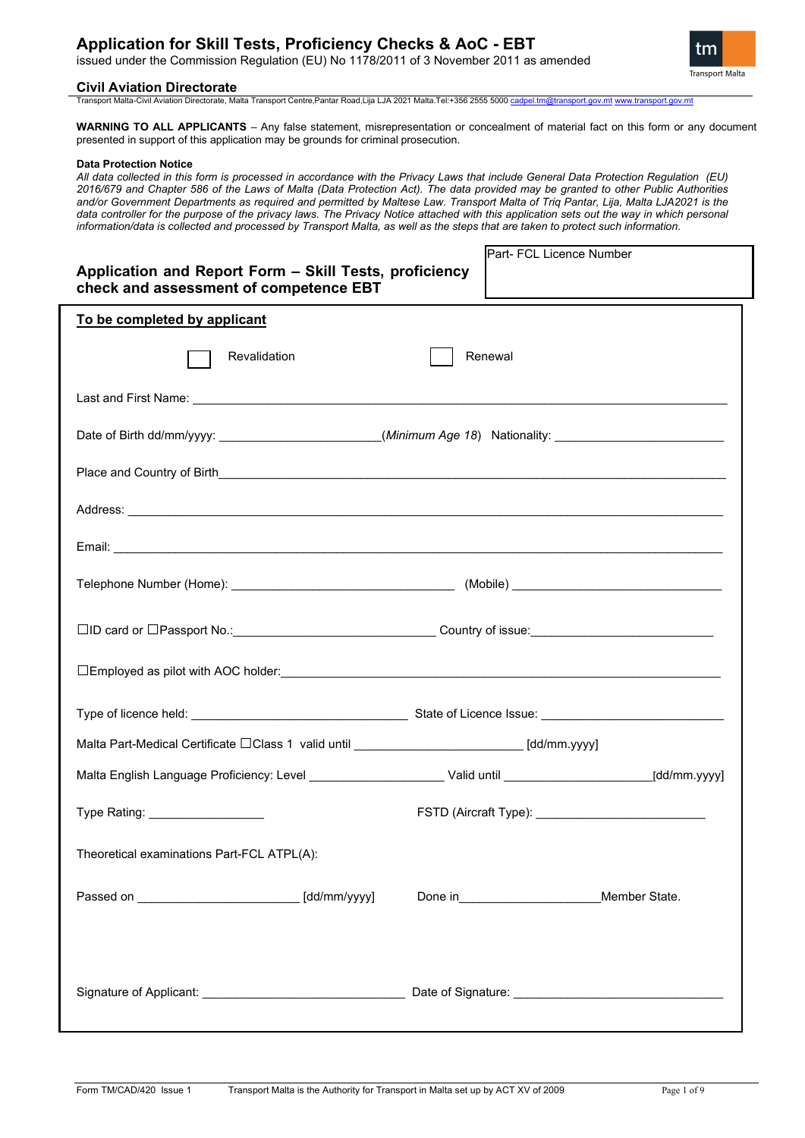issued under the Commission Regulation (EU) No 1178/2011 of 3 November 2011 as amended

### **Civil Aviation Directorate**

Transport Malta-Civil Aviation Directorate, Malta Transport Centre,Pantar Road,Lija LJA 2021 Malta.Tel:+356 2555 500[0 cadpel.tm@transport.gov.mt](mailto:cadpel.tm@transport.gov.mt) [www.transport.gov.mt](http://www.transport.gov.mt/)

**WARNING TO ALL APPLICANTS** – Any false statement, misrepresentation or concealment of material fact on this form or any document presented in support of this application may be grounds for criminal prosecution.

#### **Data Protection Notice**

*All data collected in this form is processed in accordance with the Privacy Laws that include General Data Protection Regulation (EU) 2016/679 and Chapter 586 of the Laws of Malta (Data Protection Act). The data provided may be granted to other Public Authorities and/or Government Departments as required and permitted by Maltese Law. Transport Malta of Triq Pantar, Lija, Malta LJA2021 is the*  data controller for the purpose of the privacy laws. The Privacy Notice attached with this application sets out the way in which personal *information/data is collected and processed by Transport Malta, as well as the steps that are taken to protect such information.*

| Application and Report Form - Skill Tests, proficiency<br>check and assessment of competence EBT                      | Part- FCL Licence Number                                 |  |
|-----------------------------------------------------------------------------------------------------------------------|----------------------------------------------------------|--|
| To be completed by applicant                                                                                          |                                                          |  |
| Revalidation                                                                                                          | Renewal                                                  |  |
|                                                                                                                       |                                                          |  |
| Date of Birth dd/mm/yyyy: ________________________(Minimum Age 18) Nationality: __________________________            |                                                          |  |
|                                                                                                                       |                                                          |  |
|                                                                                                                       |                                                          |  |
|                                                                                                                       |                                                          |  |
|                                                                                                                       |                                                          |  |
| □ID card or □Passport No.: ___________________________________Country of issue: ______________________________        |                                                          |  |
|                                                                                                                       |                                                          |  |
|                                                                                                                       |                                                          |  |
| Malta Part-Medical Certificate □Class 1 valid until ____________________________[dd/mm.yyyy]                          |                                                          |  |
| Malta English Language Proficiency: Level _________________________Valid until __________________________[dd/mm.yyyy] |                                                          |  |
| Type Rating: __________________                                                                                       | FSTD (Aircraft Type): __________________________________ |  |
| Theoretical examinations Part-FCL ATPL(A):                                                                            |                                                          |  |
| Passed on ______________________________ [dd/mm/yyyy]                                                                 | Member State.                                            |  |
|                                                                                                                       |                                                          |  |
|                                                                                                                       |                                                          |  |

tm **Transport Malta**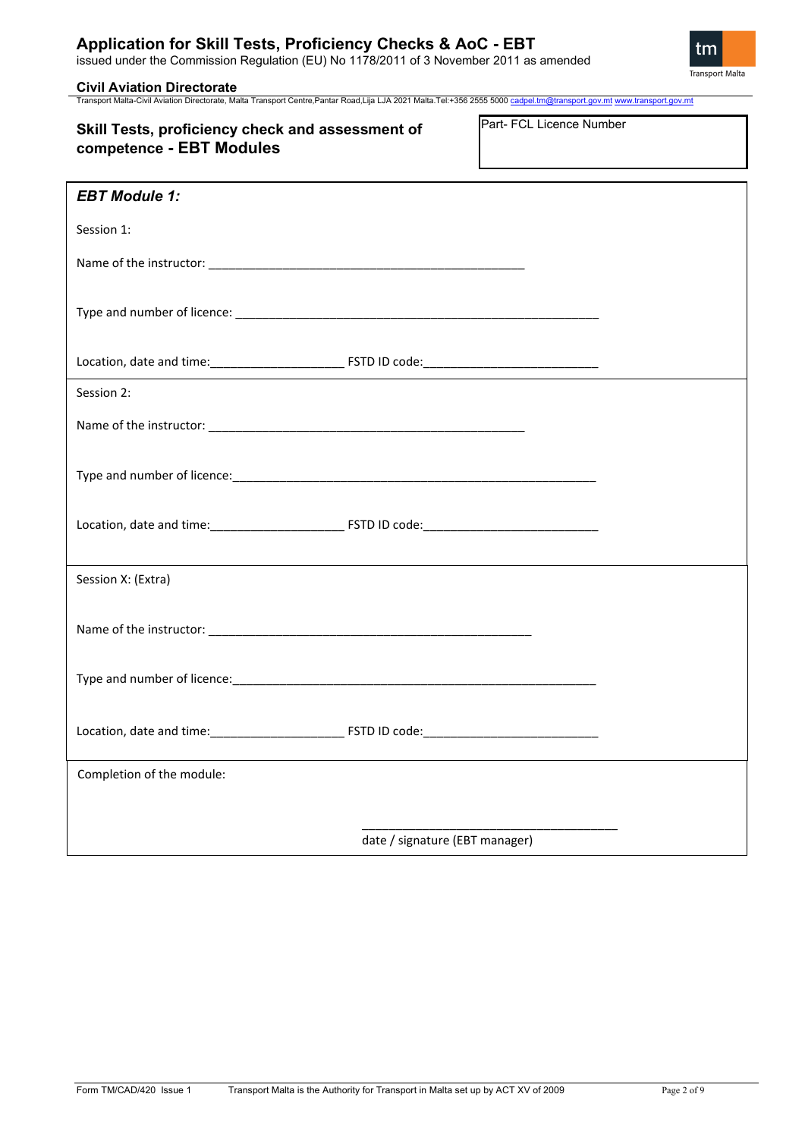issued under the Commission Regulation (EU) No 1178/2011 of 3 November 2011 as amended



**Civil Aviation Directorate**<br>Transport Malta-Civil Aviation Directorate, Malta Transport Centre,Pantar Road,Lija LJA 2021 Malta.Tel:+356 2555 5000 <u>cadpel.tm@transport.gov.mt www.transport.gov.m</u>t

| Skill Tests, proficiency check and assessment of | Part- FCL Licence Number |
|--------------------------------------------------|--------------------------|
| competence - EBT Modules                         |                          |

| <b>EBT Module 1:</b>      |                                |  |
|---------------------------|--------------------------------|--|
| Session 1:                |                                |  |
|                           |                                |  |
|                           |                                |  |
|                           |                                |  |
| Session 2:                |                                |  |
|                           |                                |  |
|                           |                                |  |
|                           |                                |  |
|                           |                                |  |
| Session X: (Extra)        |                                |  |
|                           |                                |  |
|                           |                                |  |
|                           |                                |  |
| Completion of the module: |                                |  |
|                           |                                |  |
|                           | date / signature (EBT manager) |  |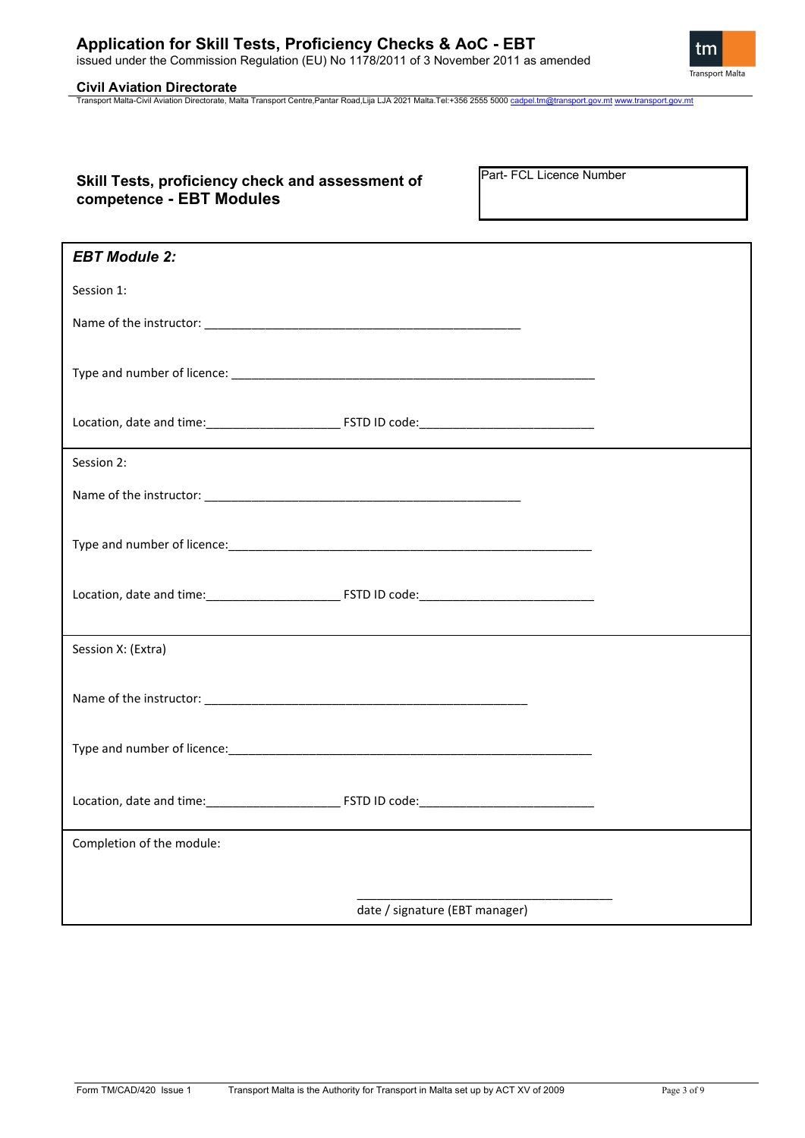issued under the Commission Regulation (EU) No 1178/2011 of 3 November 2011 as amended

**Civil Aviation Directorate**<br>Transport Malta-Civil Aviation Directorate, Malta Transport Centre,Pantar Road,Lija LJA 2021 Malta.Tel:+356 2555 5000 <u>cadpel.tm@transport.gov.mt www.transport.gov.m</u>t

## **Skill Tests, proficiency check and assessment of competence - EBT Modules**

Part- FCL Licence Number

| <b>EBT Module 2:</b>      |                                |  |
|---------------------------|--------------------------------|--|
| Session 1:                |                                |  |
|                           |                                |  |
|                           |                                |  |
|                           |                                |  |
| Session 2:                |                                |  |
|                           |                                |  |
|                           |                                |  |
|                           |                                |  |
|                           |                                |  |
| Session X: (Extra)        |                                |  |
|                           |                                |  |
|                           |                                |  |
|                           |                                |  |
| Completion of the module: |                                |  |
|                           |                                |  |
|                           | date / signature (EBT manager) |  |

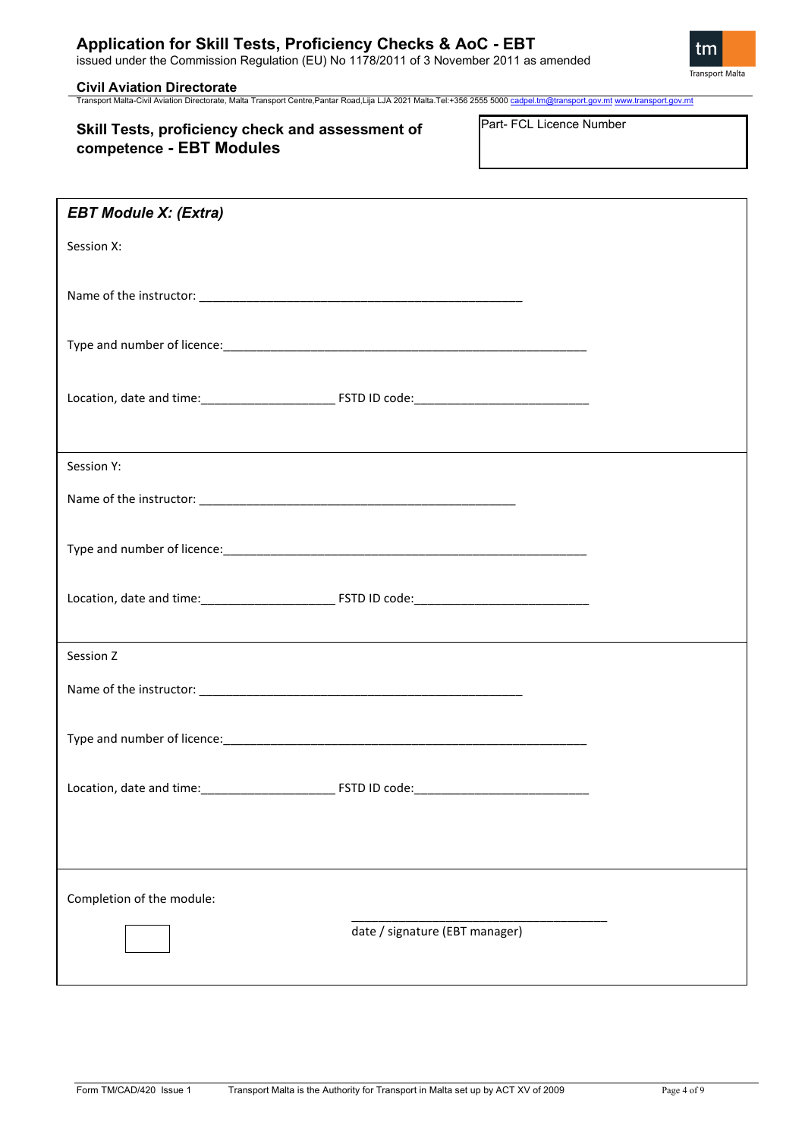issued under the Commission Regulation (EU) No 1178/2011 of 3 November 2011 as amended



**Civil Aviation Directorate**<br>Transport Malta-Civil Aviation Directorate, Malta Transport Centre,Pantar Road,Lija LJA 2021 Malta.Tel:+356 2555 5000 <u>cadpel.tm@transport.gov.mt www.transport.gov.m</u>t

## **Skill Tests, proficiency check and assessment of competence - EBT Modules**

Part- FCL Licence Number

| <b>EBT Module X: (Extra)</b> |                                |  |
|------------------------------|--------------------------------|--|
| Session X:                   |                                |  |
|                              |                                |  |
|                              |                                |  |
|                              |                                |  |
|                              |                                |  |
|                              |                                |  |
| Session Y:                   |                                |  |
|                              |                                |  |
|                              |                                |  |
|                              |                                |  |
|                              |                                |  |
|                              |                                |  |
| Session Z                    |                                |  |
|                              |                                |  |
|                              |                                |  |
|                              |                                |  |
|                              |                                |  |
|                              |                                |  |
| Completion of the module:    |                                |  |
|                              | date / signature (EBT manager) |  |
|                              |                                |  |
|                              |                                |  |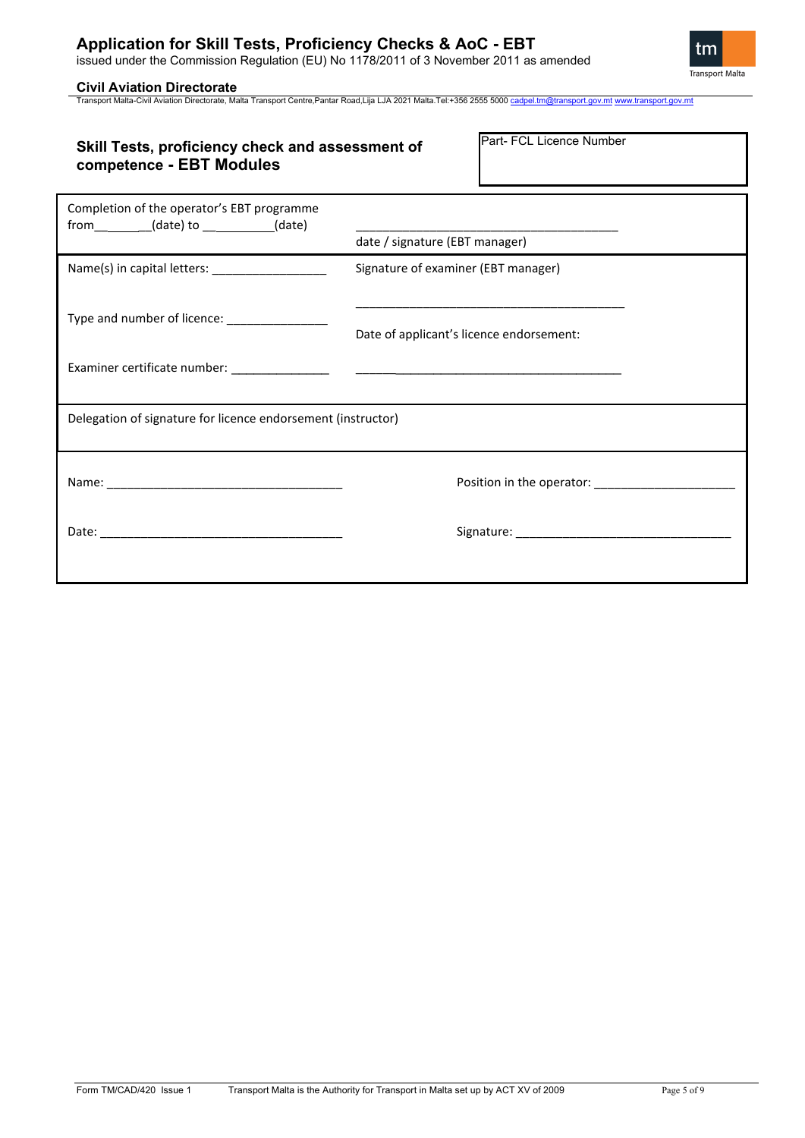issued under the Commission Regulation (EU) No 1178/2011 of 3 November 2011 as amended

**Civil Aviation Directorate**<br>Transport Malta-Civil Aviation Directorate, Malta Transport Centre,Pantar Road,Lija LJA 2021 Malta.Tel:+356 2555 5000 <u>cadpel.tm@transport.gov.mt www.transport.gov.m</u>t

| Skill Tests, proficiency check and assessment of<br>competence - EBT Modules               | Part- FCL Licence Number                                                                                                                                         |
|--------------------------------------------------------------------------------------------|------------------------------------------------------------------------------------------------------------------------------------------------------------------|
| Completion of the operator's EBT programme<br>$from$ __________(date) to ___________(date) | date / signature (EBT manager)                                                                                                                                   |
| Name(s) in capital letters: ____________________                                           | Signature of examiner (EBT manager)                                                                                                                              |
| Type and number of licence: _______________                                                | <u> 1980 - Jan James James James James James James James James James James James James James James James James J</u><br>Date of applicant's licence endorsement: |
|                                                                                            |                                                                                                                                                                  |
| Delegation of signature for licence endorsement (instructor)                               |                                                                                                                                                                  |
|                                                                                            |                                                                                                                                                                  |
|                                                                                            |                                                                                                                                                                  |
|                                                                                            |                                                                                                                                                                  |

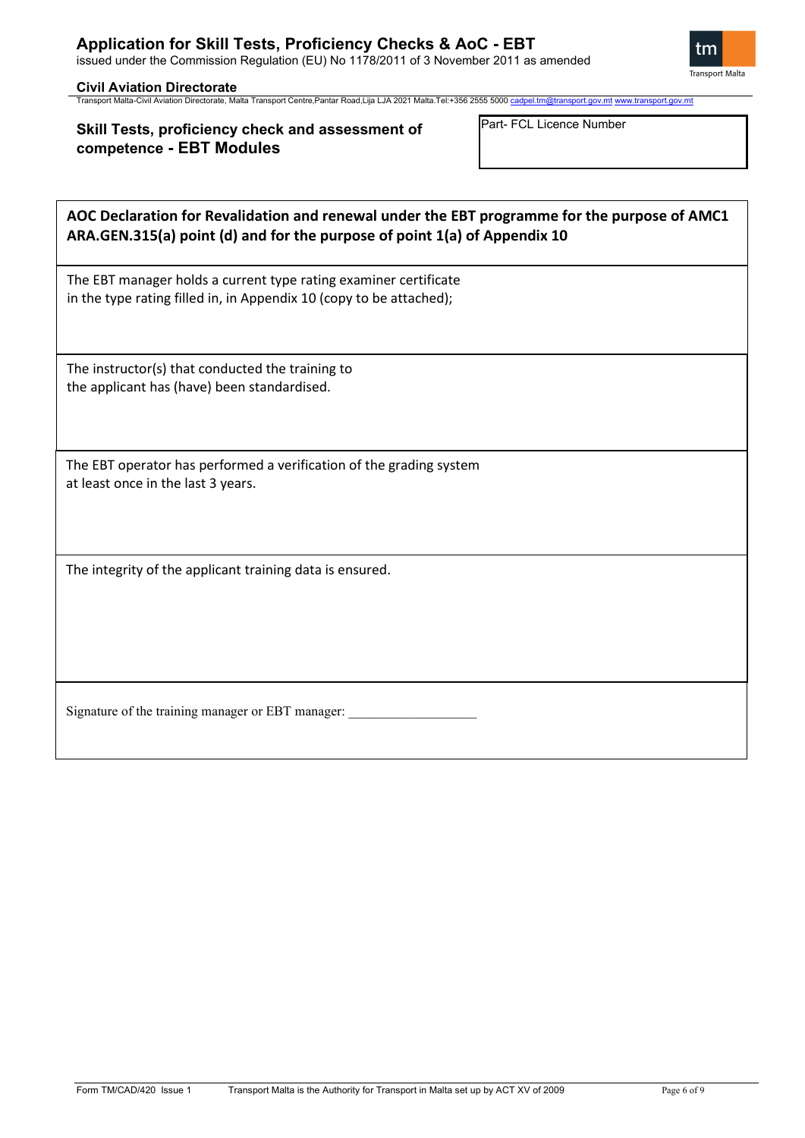tm Transport Malta

# **Civil Aviation Directorate**<br>Transport Malta-Civil Aviation Directorate, Malta Transport Centre,Pantar Road,Lija LJA 2021 Malta.Tel:+356 2555 5000 <u>cadpel.tm@transport.gov.mt www.transport.gov.m</u>t

## **Skill Tests, proficiency check and assessment of competence - EBT Modules**

Part- FCL Licence Number

| AOC Declaration for Revalidation and renewal under the EBT programme for the purpose of AMC1<br>ARA.GEN.315(a) point (d) and for the purpose of point 1(a) of Appendix 10 |
|---------------------------------------------------------------------------------------------------------------------------------------------------------------------------|
| The EBT manager holds a current type rating examiner certificate<br>in the type rating filled in, in Appendix 10 (copy to be attached);                                   |
| The instructor(s) that conducted the training to<br>the applicant has (have) been standardised.                                                                           |
| The EBT operator has performed a verification of the grading system<br>at least once in the last 3 years.                                                                 |
| The integrity of the applicant training data is ensured.                                                                                                                  |
| Signature of the training manager or EBT manager:                                                                                                                         |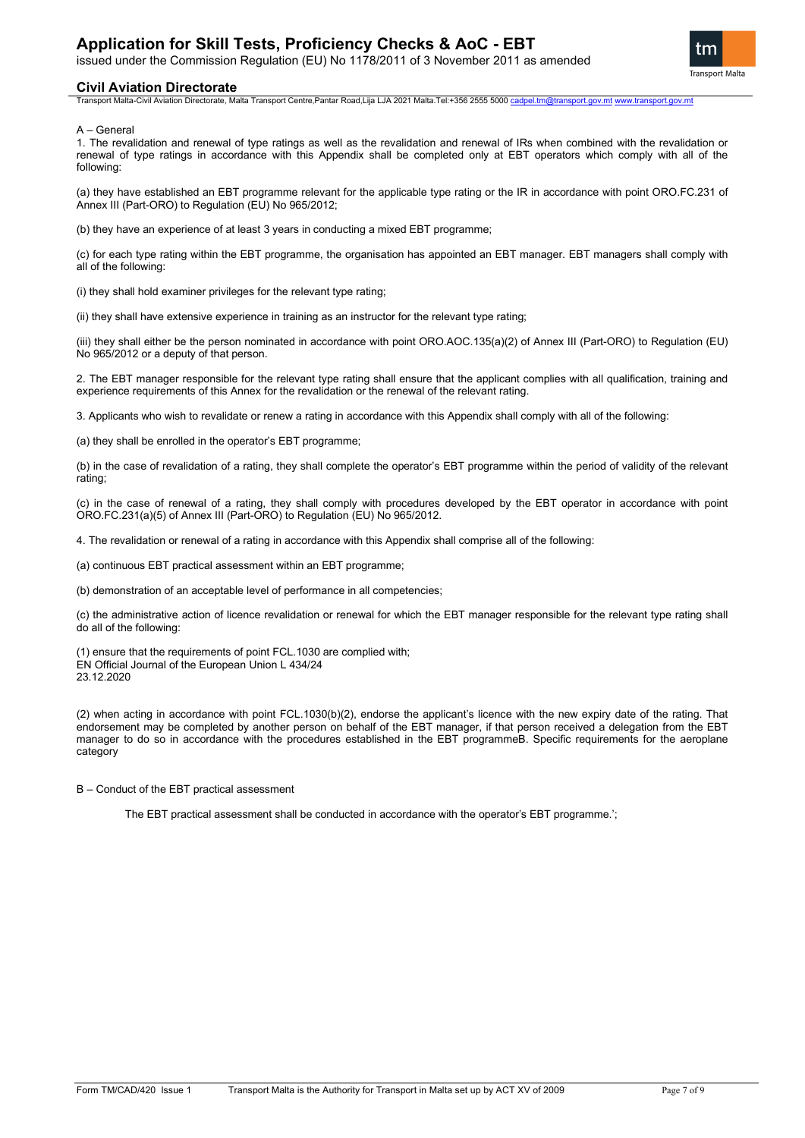issued under the Commission Regulation (EU) No 1178/2011 of 3 November 2011 as amended



#### **Civil Aviation Directorate**

Transport Malta-Civil Aviation Directorate, Malta Transport Centre,Pantar Road,Lija LJA 2021 Malta.Tel:+356 2555 500[0 cadpel.tm@transport.gov.mt](mailto:cadpel.tm@transport.gov.mt) [www.transport.gov.mt](http://www.transport.gov.mt/)

A – General

1. The revalidation and renewal of type ratings as well as the revalidation and renewal of IRs when combined with the revalidation or renewal of type ratings in accordance with this Appendix shall be completed only at EBT operators which comply with all of the following:

(a) they have established an EBT programme relevant for the applicable type rating or the IR in accordance with point ORO.FC.231 of Annex III (Part-ORO) to Regulation (EU) No 965/2012;

(b) they have an experience of at least 3 years in conducting a mixed EBT programme;

(c) for each type rating within the EBT programme, the organisation has appointed an EBT manager. EBT managers shall comply with all of the following:

(i) they shall hold examiner privileges for the relevant type rating;

(ii) they shall have extensive experience in training as an instructor for the relevant type rating;

(iii) they shall either be the person nominated in accordance with point ORO.AOC.135(a)(2) of Annex III (Part-ORO) to Regulation (EU) No 965/2012 or a deputy of that person.

2. The EBT manager responsible for the relevant type rating shall ensure that the applicant complies with all qualification, training and experience requirements of this Annex for the revalidation or the renewal of the relevant rating.

3. Applicants who wish to revalidate or renew a rating in accordance with this Appendix shall comply with all of the following:

(a) they shall be enrolled in the operator's EBT programme;

(b) in the case of revalidation of a rating, they shall complete the operator's EBT programme within the period of validity of the relevant rating;

(c) in the case of renewal of a rating, they shall comply with procedures developed by the EBT operator in accordance with point ORO.FC.231(a)(5) of Annex III (Part-ORO) to Regulation (EU) No 965/2012.

4. The revalidation or renewal of a rating in accordance with this Appendix shall comprise all of the following:

(a) continuous EBT practical assessment within an EBT programme;

(b) demonstration of an acceptable level of performance in all competencies;

(c) the administrative action of licence revalidation or renewal for which the EBT manager responsible for the relevant type rating shall do all of the following:

(1) ensure that the requirements of point FCL.1030 are complied with; EN Official Journal of the European Union L 434/24

23.12.2020

(2) when acting in accordance with point FCL.1030(b)(2), endorse the applicant's licence with the new expiry date of the rating. That endorsement may be completed by another person on behalf of the EBT manager, if that person received a delegation from the EBT manager to do so in accordance with the procedures established in the EBT programmeB. Specific requirements for the aeroplane category

B – Conduct of the EBT practical assessment

The EBT practical assessment shall be conducted in accordance with the operator's EBT programme.';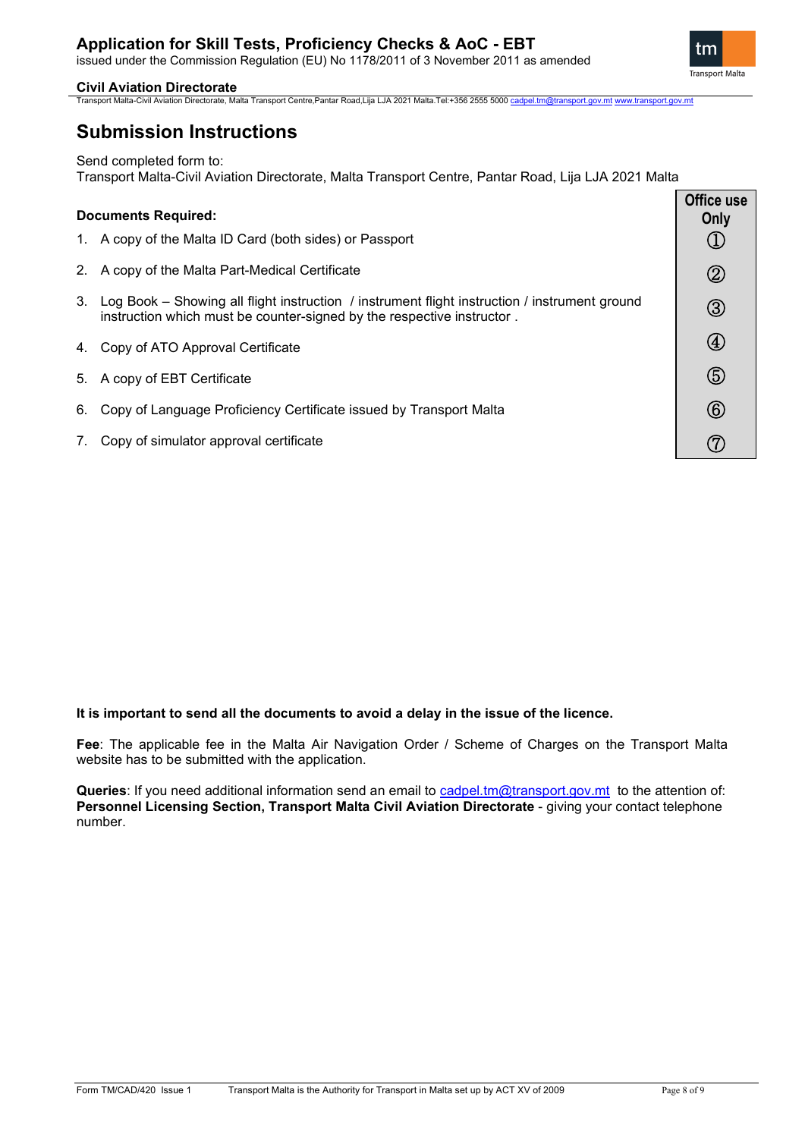### **Application for Skill Tests, Proficiency Checks & AoC - EBT** issued under the Commission Regulation (EU) No 1178/2011 of 3 November 2011 as amended

**Civil Aviation Directorate**

tm **Transport Malta** 

Transport Malta-Civil Aviation Directorate, Malta Transport Centre,Pantar Road,Lija LJA 2021 Malta.Tel:+356 2555 500[0 cadpel.tm@transport.gov.mt](mailto:cadpel.tm@transport.gov.mt) [www.transport.gov.mt](http://www.transport.gov.mt/)

## **Submission Instructions**

Send completed form to:

Transport Malta-Civil Aviation Directorate, Malta Transport Centre, Pantar Road, Lija LJA 2021 Malta

| <b>Documents Required:</b> |                                                                                                                                                                         | Office use<br>Only |
|----------------------------|-------------------------------------------------------------------------------------------------------------------------------------------------------------------------|--------------------|
|                            | 1. A copy of the Malta ID Card (both sides) or Passport                                                                                                                 |                    |
|                            | 2. A copy of the Malta Part-Medical Certificate                                                                                                                         | $\circledZ$        |
| 3.                         | Log Book – Showing all flight instruction / instrument flight instruction / instrument ground<br>instruction which must be counter-signed by the respective instructor. | $\circledS$        |
|                            | 4. Copy of ATO Approval Certificate                                                                                                                                     | $\left( 4\right)$  |
|                            | 5. A copy of EBT Certificate                                                                                                                                            | (5)                |
|                            | 6. Copy of Language Proficiency Certificate issued by Transport Malta                                                                                                   | (6)                |
| 7.                         | Copy of simulator approval certificate                                                                                                                                  |                    |

### **It is important to send all the documents to avoid a delay in the issue of the licence.**

**Fee**: The applicable fee in the Malta Air Navigation Order / Scheme of Charges on the Transport Malta website has to be submitted with the application.

Queries: If you need additional information send an email to [cadpel.tm@transport.gov.mt](mailto:cadpel.tm@transport.gov.mt) to the attention of: Personnel Licensing Section, Transport Malta Civil Aviation Directorate - giving your contact telephone number.